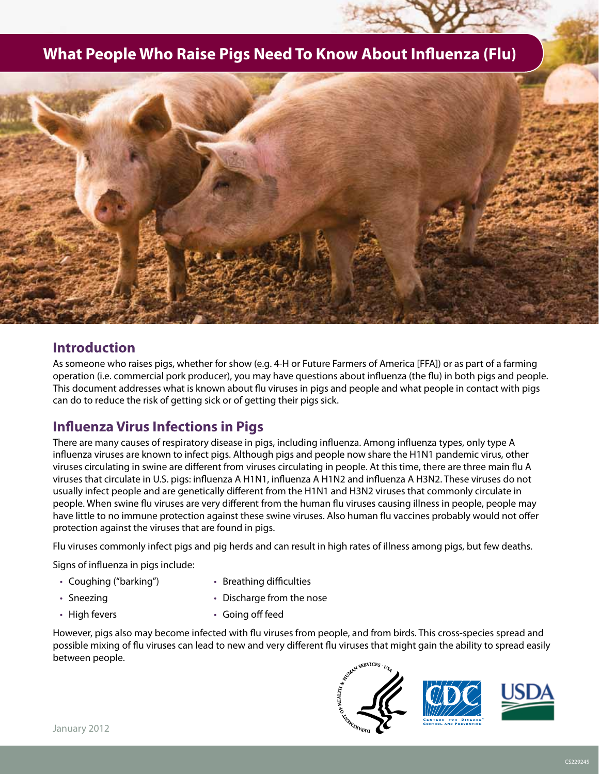# **What People Who Raise Pigs Need To Know About Influenza (Flu)**



## **Introduction**

As someone who raises pigs, whether for show (e.g. 4-H or Future Farmers of America [FFA]) or as part of a farming operation (i.e. commercial pork producer), you may have questions about influenza (the flu) in both pigs and people. This document addresses what is known about flu viruses in pigs and people and what people in contact with pigs can do to reduce the risk of getting sick or of getting their pigs sick.

## **Influenza Virus Infections in Pigs**

There are many causes of respiratory disease in pigs, including influenza. Among influenza types, only type A influenza viruses are known to infect pigs. Although pigs and people now share the H1N1 pandemic virus, other viruses circulating in swine are different from viruses circulating in people. At this time, there are three main flu A viruses that circulate in U.S. pigs: influenza A H1N1, influenza A H1N2 and influenza A H3N2. These viruses do not usually infect people and are genetically different from the H1N1 and H3N2 viruses that commonly circulate in people. When swine flu viruses are very different from the human flu viruses causing illness in people, people may have little to no immune protection against these swine viruses. Also human flu vaccines probably would not offer protection against the viruses that are found in pigs.

Flu viruses commonly infect pigs and pig herds and can result in high rates of illness among pigs, but few deaths.

Signs of influenza in pigs include:

- • Coughing ("barking")
- • Breathing difficulties

• Sneezing

- • Discharge from the nose
- • High fevers • Going off feed

However, pigs also may become infected with flu viruses from people, and from birds. This cross-species spread and possible mixing of flu viruses can lead to new and very different flu viruses that might gain the ability to spread easily between people.

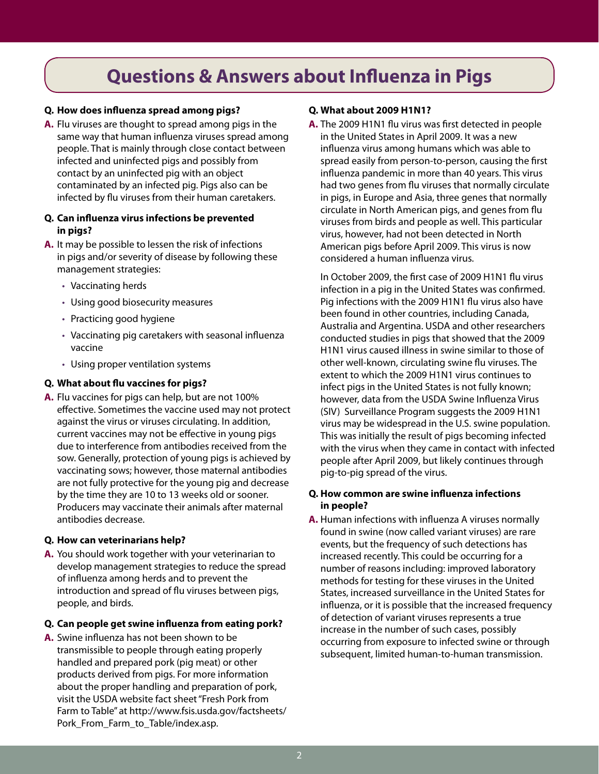# **Questions & Answers about Influenza in Pigs**

#### **Q. How does influenza spread among pigs?**

**A.** Flu viruses are thought to spread among pigs in the same way that human influenza viruses spread among people. That is mainly through close contact between infected and uninfected pigs and possibly from contact by an uninfected pig with an object contaminated by an infected pig. Pigs also can be infected by flu viruses from their human caretakers.

#### **Q. Can influenza virus infections be prevented in pigs?**

- **A.** It may be possible to lessen the risk of infections in pigs and/or severity of disease by following these management strategies:
	- • Vaccinating herds
	- • Using good biosecurity measures
	- Practicing good hygiene
	- Vaccinating pig caretakers with seasonal influenza vaccine
	- • Using proper ventilation systems

#### **Q. What about flu vaccines for pigs?**

**A.** Flu vaccines for pigs can help, but are not 100% effective. Sometimes the vaccine used may not protect against the virus or viruses circulating. In addition, current vaccines may not be effective in young pigs due to interference from antibodies received from the sow. Generally, protection of young pigs is achieved by vaccinating sows; however, those maternal antibodies are not fully protective for the young pig and decrease by the time they are 10 to 13 weeks old or sooner. Producers may vaccinate their animals after maternal antibodies decrease.

#### **Q. How can veterinarians help?**

**A.** You should work together with your veterinarian to develop management strategies to reduce the spread of influenza among herds and to prevent the introduction and spread of flu viruses between pigs, people, and birds.

#### **Q. Can people get swine influenza from eating pork?**

**A.** Swine influenza has not been shown to be transmissible to people through eating properly handled and prepared pork (pig meat) or other products derived from pigs. For more information about the proper handling and preparation of pork, visit the USDA website fact sheet "Fresh Pork from Farm to Table" at http://www.fsis.usda.gov/factsheets/ Pork\_From\_Farm\_to\_Table/index.asp.

#### **Q. What about 2009 H1N1?**

**A.** The 2009 H1N1 flu virus was first detected in people in the United States in April 2009. It was a new influenza virus among humans which was able to spread easily from person-to-person, causing the first influenza pandemic in more than 40 years. This virus had two genes from flu viruses that normally circulate in pigs, in Europe and Asia, three genes that normally circulate in North American pigs, and genes from flu viruses from birds and people as well. This particular virus, however, had not been detected in North American pigs before April 2009. This virus is now considered a human influenza virus.

In October 2009, the first case of 2009 H1N1 flu virus infection in a pig in the United States was confirmed. Pig infections with the 2009 H1N1 flu virus also have been found in other countries, including Canada, Australia and Argentina. USDA and other researchers conducted studies in pigs that showed that the 2009 H1N1 virus caused illness in swine similar to those of other well-known, circulating swine flu viruses. The extent to which the 2009 H1N1 virus continues to infect pigs in the United States is not fully known; however, data from the USDA Swine Influenza Virus (SIV) Surveillance Program suggests the 2009 H1N1 virus may be widespread in the U.S. swine population. This was initially the result of pigs becoming infected with the virus when they came in contact with infected people after April 2009, but likely continues through pig-to-pig spread of the virus.

#### **Q. How common are swine influenza infections in people?**

**A.** Human infections with influenza A viruses normally found in swine (now called variant viruses) are rare events, but the frequency of such detections has increased recently. This could be occurring for a number of reasons including: improved laboratory methods for testing for these viruses in the United States, increased surveillance in the United States for influenza, or it is possible that the increased frequency of detection of variant viruses represents a true increase in the number of such cases, possibly occurring from exposure to infected swine or through subsequent, limited human-to-human transmission.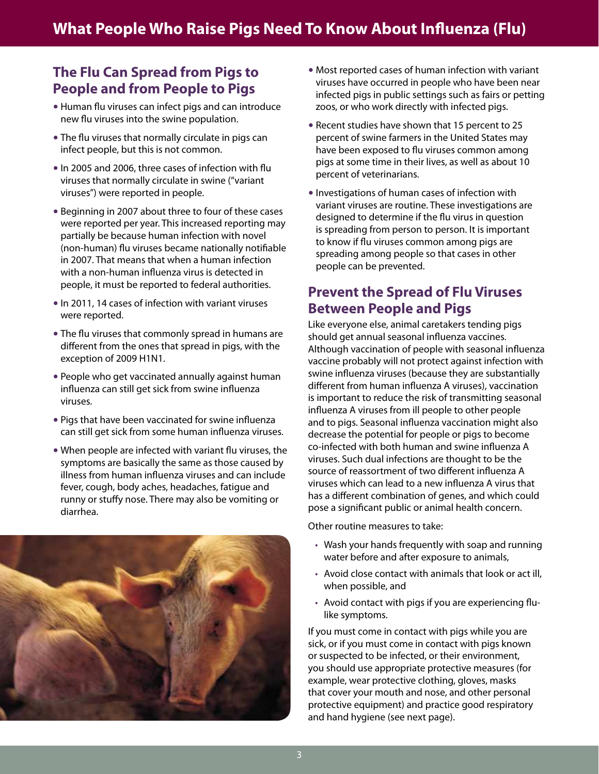# **The Flu Can Spread from Pigs to People and from People to Pigs**

- Human flu viruses can infect pigs and can introduce new flu viruses into the swine population.
- The flu viruses that normally circulate in pigs can infect people, but this is not common.
- In 2005 and 2006, three cases of infection with flu viruses that normally circulate in swine ("variant viruses") were reported in people.
- Beginning in 2007 about three to four of these cases were reported per year. This increased reporting may partially be because human infection with novel (non-human) flu viruses became nationally notifiable in 2007. That means that when a human infection with a non-human influenza virus is detected in people, it must be reported to federal authorities.
- In 2011, 14 cases of infection with variant viruses were reported.
- The flu viruses that commonly spread in humans are different from the ones that spread in pigs, with the exception of 2009 H1N1.
- People who get vaccinated annually against human influenza can still get sick from swine influenza viruses.
- Pigs that have been vaccinated for swine influenza can still get sick from some human influenza viruses.
- When people are infected with variant flu viruses, the symptoms are basically the same as those caused by illness from human influenza viruses and can include fever, cough, body aches, headaches, fatigue and runny or stuffy nose. There may also be vomiting or diarrhea.



- Most reported cases of human infection with variant viruses have occurred in people who have been near infected pigs in public settings such as fairs or petting zoos, or who work directly with infected pigs.
- Recent studies have shown that 15 percent to 25 percent of swine farmers in the United States may have been exposed to flu viruses common among pigs at some time in their lives, as well as about 10 percent of veterinarians.
- Investigations of human cases of infection with variant viruses are routine. These investigations are designed to determine if the flu virus in question is spreading from person to person. It is important to know if flu viruses common among pigs are spreading among people so that cases in other people can be prevented.

## **Prevent the Spread of Flu Viruses Between People and Pigs**

Like everyone else, animal caretakers tending pigs should get annual seasonal influenza vaccines. Although vaccination of people with seasonal influenza vaccine probably will not protect against infection with swine influenza viruses (because they are substantially different from human influenza A viruses), vaccination is important to reduce the risk of transmitting seasonal influenza A viruses from ill people to other people and to pigs. Seasonal influenza vaccination might also decrease the potential for people or pigs to become co-infected with both human and swine influenza A viruses. Such dual infections are thought to be the source of reassortment of two different influenza A viruses which can lead to a new influenza A virus that has a different combination of genes, and which could pose a significant public or animal health concern.

Other routine measures to take:

- Wash your hands frequently with soap and running water before and after exposure to animals,
- • Avoid close contact with animals that look or act ill, when possible, and
- Avoid contact with pigs if you are experiencing flulike symptoms.

If you must come in contact with pigs while you are sick, or if you must come in contact with pigs known or suspected to be infected, or their environment, you should use appropriate protective measures (for example, wear protective clothing, gloves, masks that cover your mouth and nose, and other personal protective equipment) and practice good respiratory and hand hygiene (see next page).